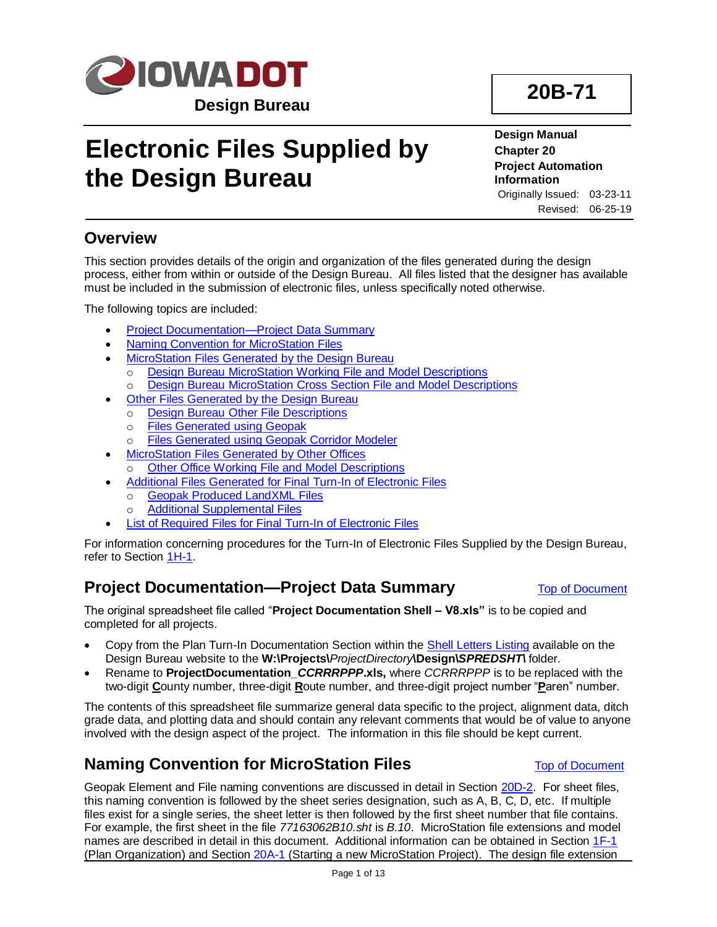

# **Electronic Files Supplied by the Design Bureau**

**Design Manual Chapter 20 Project Automation Information** Originally Issued: 03-23-11 Revised: 06-25-19

## <span id="page-0-2"></span>**Overview**

This section provides details of the origin and organization of the files generated during the design process, either from within or outside of the Design Bureau. All files listed that the designer has available must be included in the submission of electronic files, unless specifically noted otherwise.

The following topics are included:

- [Project Documentation—Project Data Summary](#page-0-0)
- [Naming Convention for MicroStation Files](#page-0-1)
- **[MicroStation Files Generated by the Design Bureau](#page-1-0)** 
	- o Design Bureau MicroStation [Working File and Model Descriptions](#page-1-1)
	- o Design Bureau MicroStation [Cross Section File and Model Descriptions](#page-4-0)
- [Other Files Generated by the Design Bureau](#page-5-0)
- o Design Bureau [Other File Descriptions](#page-5-1)
	- o [Files Generated using Geopak](#page-6-0)
	- o [Files Generated using Geopak](#page-7-0) Corridor Modeler
- [MicroStation Files Generated by Other Offices](#page-7-1)
	- o [Other Office Working File and Model Descriptions](#page-7-2)
- [Additional Files Generated for Final Turn-In of Electronic Files](#page-9-0)
	- o [Geopak Produced LandXML Files](#page-10-0)
	- o [Additional Supplemental Files](#page-10-1)
- List of Required [Files for Final Turn-In of Electronic Files](#page-11-0)

For information concerning procedures for the Turn-In of Electronic Files Supplied by the Design Bureau, refer to Section [1H-1.](01H-01.pdf)

## <span id="page-0-0"></span>**Project Documentation—Project Data Summary** [Top of Document](#page-0-2)

The original spreadsheet file called "**Project Documentation Shell – V8.xls"** is to be copied and completed for all projects.

- Copy from the Plan Turn-In Documentation Section within the [Shell Letters Listing](../Shell-letters) available on the Design Bureau website to the **W:\Projects\***ProjectDirectory***\Design\***SPREDSHT\* folder.
- Rename to **ProjectDocumentation\_***CCRRRPPP***.xls,** where *CCRRRPPP* is to be replaced with the two-digit **C**ounty number, three-digit **R**oute number, and three-digit project number "**P**aren" number.

The contents of this spreadsheet file summarize general data specific to the project, alignment data, ditch grade data, and plotting data and should contain any relevant comments that would be of value to anyone involved with the design aspect of the project. The information in this file should be kept current.

## <span id="page-0-1"></span>**Naming Convention for MicroStation Files [Top of Document](#page-0-2)**

Geopak Element and File naming conventions are discussed in detail in Section [20D-2.](20D-02.pdf) For sheet files, this naming convention is followed by the sheet series designation, such as A, B, C, D, etc. If multiple files exist for a single series, the sheet letter is then followed by the first sheet number that file contains. For example, the first sheet in the file *77163062B10.sht* is *B.10*. MicroStation file extensions and model names are described in detail in this document. Additional information can be obtained in Section [1F-1](01F-01.pdf) (Plan Organization) and Section [20A-1](20A-01.pdf) (Starting a new MicroStation Project). The design file extension

**20B-71**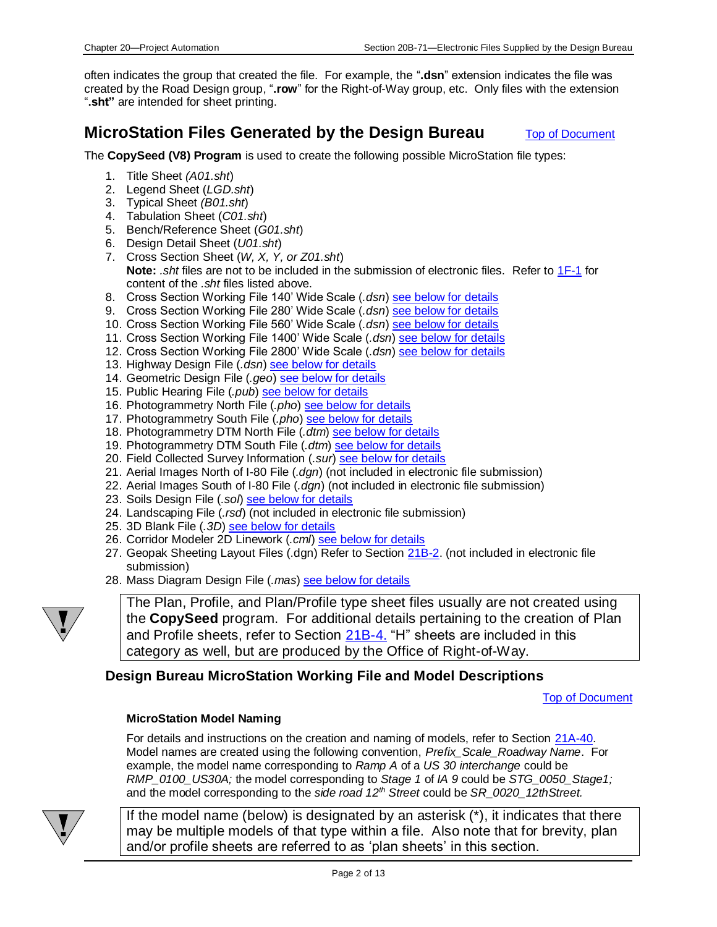often indicates the group that created the file. For example, the "**.dsn**" extension indicates the file was created by the Road Design group, "**.row**" for the Right-of-Way group, etc. Only files with the extension "**.sht"** are intended for sheet printing.

## <span id="page-1-0"></span>**MicroStation Files Generated by the Design Bureau** [Top of Document](#page-0-2)

The **CopySeed (V8) Program** is used to create the following possible MicroStation file types:

- 1. Title Sheet *(A01.sht*)
- 2. Legend Sheet (*LGD.sht*)
- 3. Typical Sheet *(B01.sht*)
- 4. Tabulation Sheet (*C01.sht*)
- 5. Bench/Reference Sheet (*G01.sht*)
- 6. Design Detail Sheet (*U01.sht*)
- 7. Cross Section Sheet (*W, X, Y, or Z01.sht*) **Note:** *.sht* files are not to be included in the submission of electronic files. Refer to [1F-1](01F-01.pdf) for content of the *.sht* files listed above.
- 8. Cross Section Working File 140' Wide Scale (*.dsn*[\) see below for](#page-4-0) details
- 9. Cross Section Working File 280' Wide Scale (*.dsn*[\) see below for details](#page-4-0)
- 10. Cross Section Working File 560' Wide Scale (*.dsn*[\) see below for](#page-4-0) details
- 11. Cross Section Working File 1400' Wide Scale (*.dsn*) [see below for details](#page-4-0)
- 12. Cross Section Working File 2800' Wide Scale (*.dsn*) [see below for details](#page-4-0)
- 13. Highway Design File (*.dsn*[\) see below for details](#page-2-0)
- 14. Geometric Design File (*.geo*[\) see below for details](#page-2-1)
- 15. Public Hearing File (*.pub*[\) see below for details](#page-2-2)
- 16. Photogrammetry North File (*.pho*[\) see below for details](#page-3-0)
- 17. Photogrammetry South File (*.pho*[\) see below for details](#page-3-0)
- 18. Photogrammetry DTM North File (*.dtm*) [see below for details](#page-4-1)
- 19. Photogrammetry DTM South File (*.dtm*) [see below for details](#page-4-1)
- 20. Field Collected Survey Information (*.sur*[\) see below for details](#page-3-1)
- 21. Aerial Images North of I-80 File (*.dgn*) (not included in electronic file submission)
- 22. Aerial Images South of I-80 File (*.dgn*) (not included in electronic file submission)
- 23. Soils Design File (*.sol*) [see below for details](#page-4-2)
- 24. Landscaping File (*.rsd*) (not included in electronic file submission)
- 25. 3D Blank File (*.3D*) [see below for details](#page-4-3)
- 26. Corridor Modeler 2D Linework (*.cml*) [see below for details](#page-4-4)
- 27. Geopak Sheeting Layout Files (.dgn) Refer to Section [21B-2.](21B-02.pdf) (not included in electronic file submission)
- 28. Mass Diagram Design File (*.mas*) [see below for details](#page-4-5)



The Plan, Profile, and Plan/Profile type sheet files usually are not created using the **CopySeed** program. For additional details pertaining to the creation of Plan and Profile sheets, refer to Section [21B-4.](21B-04.pdf) "H" sheets are included in this category as well, but are produced by the Office of Right-of-Way.

### <span id="page-1-1"></span>**Design Bureau MicroStation Working File and Model Descriptions**

[Top of Document](#page-0-2)

#### **MicroStation Model Naming**

For details and instructions on the creation and naming of models, refer to Section [21A-40.](21A-40.pdf) Model names are created using the following convention, *Prefix\_Scale\_Roadway Name*. For example, the model name corresponding to *Ramp A* of a *US 30 interchange* could be *RMP\_0100\_US30A;* the model corresponding to *Stage 1* of *IA 9* could be *STG\_0050\_Stage1;*  and the model corresponding to the *side road 12th Street* could be *SR\_0020\_12thStreet.*



If the model name (below) is designated by an asterisk (\*), it indicates that there may be multiple models of that type within a file. Also note that for brevity, plan and/or profile sheets are referred to as 'plan sheets' in this section.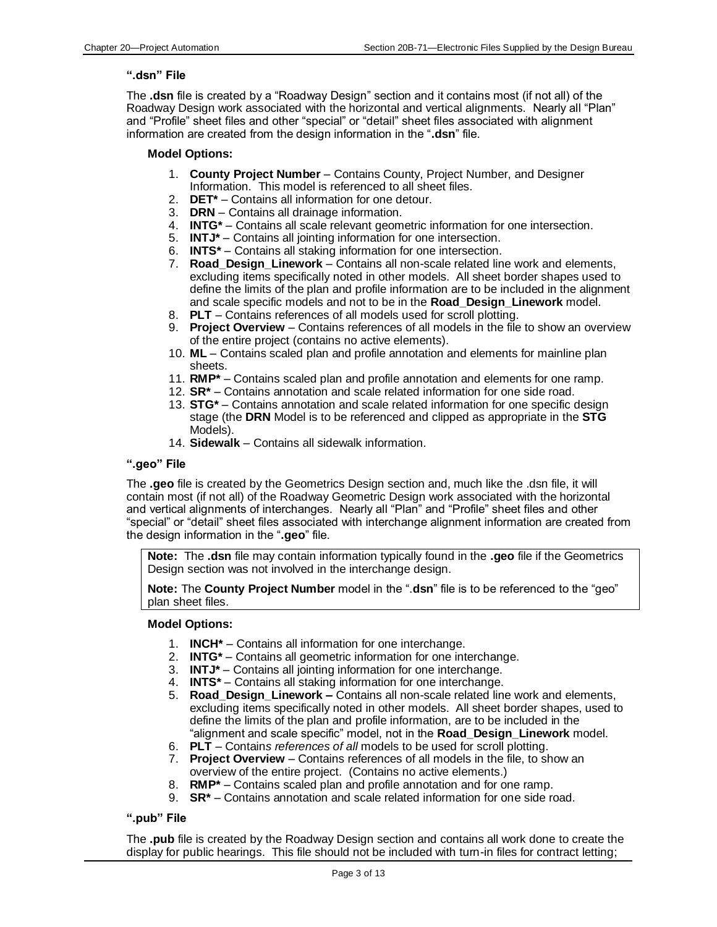#### <span id="page-2-0"></span>**".dsn" File**

The **.dsn** file is created by a "Roadway Design" section and it contains most (if not all) of the Roadway Design work associated with the horizontal and vertical alignments. Nearly all "Plan" and "Profile" sheet files and other "special" or "detail" sheet files associated with alignment information are created from the design information in the "**.dsn**" file.

#### **Model Options:**

- 1. **County Project Number** Contains County, Project Number, and Designer Information. This model is referenced to all sheet files.
- 2. **DET\*** Contains all information for one detour.
- 3. **DRN** Contains all drainage information.
- 4. **INTG\*** Contains all scale relevant geometric information for one intersection.
- 5. **INTJ\*** Contains all jointing information for one intersection.
- 6. **INTS\*** Contains all staking information for one intersection.
- 7. **Road\_Design\_Linework** Contains all non-scale related line work and elements, excluding items specifically noted in other models. All sheet border shapes used to define the limits of the plan and profile information are to be included in the alignment and scale specific models and not to be in the **Road\_Design\_Linework** model.
- 8. **PLT** Contains references of all models used for scroll plotting.
- 9. **Project Overview** Contains references of all models in the file to show an overview of the entire project (contains no active elements).
- 10. **ML** Contains scaled plan and profile annotation and elements for mainline plan sheets.
- 11. **RMP\*** Contains scaled plan and profile annotation and elements for one ramp.
- 12. **SR\*** Contains annotation and scale related information for one side road.
- 13. **STG\*** Contains annotation and scale related information for one specific design stage (the **DRN** Model is to be referenced and clipped as appropriate in the **STG** Models).
- 14. **Sidewalk**  Contains all sidewalk information.

#### <span id="page-2-1"></span>**".geo" File**

The **.geo** file is created by the Geometrics Design section and, much like the .dsn file, it will contain most (if not all) of the Roadway Geometric Design work associated with the horizontal and vertical alignments of interchanges. Nearly all "Plan" and "Profile" sheet files and other "special" or "detail" sheet files associated with interchange alignment information are created from the design information in the "**.geo**" file.

**Note:** The **.dsn** file may contain information typically found in the **.geo** file if the Geometrics Design section was not involved in the interchange design.

**Note:** The **County Project Number** model in the ".**dsn**" file is to be referenced to the "geo" plan sheet files.

#### **Model Options:**

- 1. **INCH\*** Contains all information for one interchange.
- 2. **INTG\*** Contains all geometric information for one interchange.
- 3. **INTJ\*** Contains all jointing information for one interchange.
- 4. **INTS\*** Contains all staking information for one interchange.
- 5. **Road\_Design\_Linework –** Contains all non-scale related line work and elements, excluding items specifically noted in other models. All sheet border shapes, used to define the limits of the plan and profile information, are to be included in the "alignment and scale specific" model, not in the **Road\_Design\_Linework** model.
- 6. **PLT** Contain*s references of all* models to be used for scroll plotting.
- 7. **Project Overview** Contains references of all models in the file, to show an overview of the entire project. (Contains no active elements.)
- 8. **RMP\*** Contains scaled plan and profile annotation and for one ramp.
- 9. **SR\*** Contains annotation and scale related information for one side road.

#### <span id="page-2-2"></span>**".pub" File**

The **.pub** file is created by the Roadway Design section and contains all work done to create the display for public hearings. This file should not be included with turn-in files for contract letting;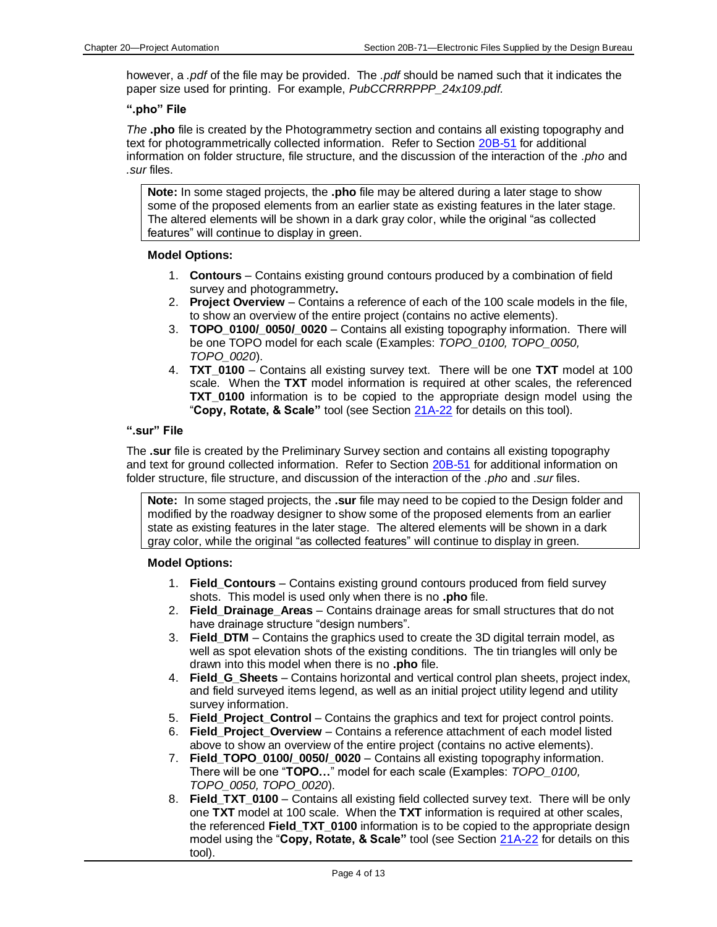however, a *.pdf* of the file may be provided. The *.pdf* should be named such that it indicates the paper size used for printing. For example, *PubCCRRRPPP\_24x109.pdf.*

#### <span id="page-3-0"></span>**".pho" File**

*The* **.pho** file is created by the Photogrammetry section and contains all existing topography and text for photogrammetrically collected information.Refer to Section [20B-51](20B-51.pdf) for additional information on folder structure, file structure, and the discussion of the interaction of the *.pho* and *.sur* files.

**Note:** In some staged projects, the **.pho** file may be altered during a later stage to show some of the proposed elements from an earlier state as existing features in the later stage. The altered elements will be shown in a dark gray color, while the original "as collected features" will continue to display in green.

#### **Model Options:**

- 1. **Contours** Contains existing ground contours produced by a combination of field survey and photogrammetry**.**
- 2. **Project Overview** Contains a reference of each of the 100 scale models in the file, to show an overview of the entire project (contains no active elements).
- 3. **TOPO\_0100/\_0050/\_0020**  Contains all existing topography information. There will be one TOPO model for each scale (Examples: *TOPO\_0100, TOPO\_0050, TOPO\_0020*).
- 4. **TXT\_0100** Contains all existing survey text. There will be one **TXT** model at 100 scale. When the **TXT** model information is required at other scales, the referenced **TXT\_0100** information is to be copied to the appropriate design model using the "**Copy, Rotate, & Scale"** tool (see Section [21A-22](21A-22.pdf) for details on this tool).

#### <span id="page-3-1"></span>**".sur" File**

The **.sur** file is created by the Preliminary Survey section and contains all existing topography and text for ground collected information. Refer to Section [20B-51](20B-51.pdf) for additional information on folder structure, file structure, and discussion of the interaction of the *.pho* and *.sur* files.

**Note:** In some staged projects, the **.sur** file may need to be copied to the Design folder and modified by the roadway designer to show some of the proposed elements from an earlier state as existing features in the later stage. The altered elements will be shown in a dark gray color, while the original "as collected features" will continue to display in green.

#### **Model Options:**

- 1. **Field\_Contours** Contains existing ground contours produced from field survey shots. This model is used only when there is no **.pho** file.
- 2. **Field\_Drainage\_Areas** Contains drainage areas for small structures that do not have drainage structure "design numbers".
- 3. **Field\_DTM** Contains the graphics used to create the 3D digital terrain model, as well as spot elevation shots of the existing conditions. The tin triangles will only be drawn into this model when there is no **.pho** file.
- 4. **Field\_G\_Sheets** Contains horizontal and vertical control plan sheets, project index, and field surveyed items legend, as well as an initial project utility legend and utility survey information.
- 5. **Field\_Project\_Control** Contains the graphics and text for project control points.
- 6. **Field\_Project\_Overview** Contains a reference attachment of each model listed above to show an overview of the entire project (contains no active elements).
- 7. **Field\_TOPO\_0100/\_0050/\_0020** Contains all existing topography information. There will be one "**TOPO…**" model for each scale (Examples: *TOPO\_0100, TOPO\_0050, TOPO\_0020*).
- 8. **Field TXT 0100** Contains all existing field collected survey text. There will be only one **TXT** model at 100 scale. When the **TXT** information is required at other scales, the referenced **Field\_TXT\_0100** information is to be copied to the appropriate design model using the "**Copy, Rotate, & Scale"** tool (see Section [21A-22](21A-22.pdf) for details on this tool).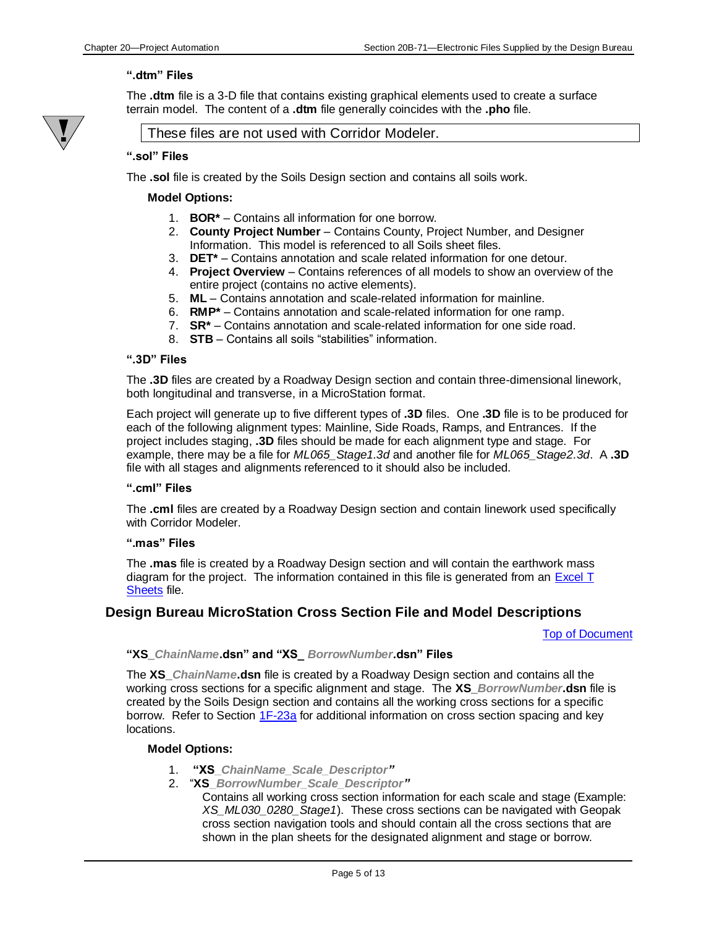#### <span id="page-4-1"></span>**".dtm" Files**

The **.dtm** file is a 3-D file that contains existing graphical elements used to create a surface terrain model. The content of a **.dtm** file generally coincides with the **.pho** file.



#### These files are not used with Corridor Modeler.

#### <span id="page-4-2"></span>**".sol" Files**

The **.sol** file is created by the Soils Design section and contains all soils work.

#### **Model Options:**

- 1. **BOR\*** Contains all information for one borrow.
- 2. **County Project Number** Contains County, Project Number, and Designer Information. This model is referenced to all Soils sheet files.
- 3. **DET\*** Contains annotation and scale related information for one detour.
- 4. **Project Overview**  Contains references of all models to show an overview of the entire project (contains no active elements).
- 5. **ML** Contains annotation and scale-related information for mainline.
- 6. **RMP\*** Contains annotation and scale-related information for one ramp.
- 7. **SR\*** Contains annotation and scale-related information for one side road.
- 8. **STB** Contains all soils "stabilities" information.

#### <span id="page-4-3"></span>**".3D" Files**

The **.3D** files are created by a Roadway Design section and contain three-dimensional linework, both longitudinal and transverse, in a MicroStation format.

Each project will generate up to five different types of **.3D** files. One **.3D** file is to be produced for each of the following alignment types: Mainline, Side Roads, Ramps, and Entrances. If the project includes staging, **.3D** files should be made for each alignment type and stage. For example, there may be a file for *ML065\_Stage1.3d* and another file for *ML065\_Stage2.3d*. A **.3D**  file with all stages and alignments referenced to it should also be included.

#### <span id="page-4-4"></span>**".cml" Files**

The **.cml** files are created by a Roadway Design section and contain linework used specifically with Corridor Modeler.

#### <span id="page-4-5"></span>**".mas" Files**

The **.mas** file is created by a Roadway Design section and will contain the earthwork mass diagram for the project. The information contained in this file is generated from an [Excel T](#page-6-1)  [Sheets](#page-6-1) file.

#### <span id="page-4-0"></span>**Design Bureau MicroStation Cross Section File and Model Descriptions**

[Top of Document](#page-0-2)

#### **"XS\_***ChainName***.dsn" and "XS\_** *BorrowNumber***.dsn" Files**

The **XS\_***ChainName***.dsn** file is created by a Roadway Design section and contains all the working cross sections for a specific alignment and stage. The **XS\_***BorrowNumber***.dsn** file is created by the Soils Design section and contains all the working cross sections for a specific borrow. Refer to Section [1F-23a](01F-23a.pdf) for additional information on cross section spacing and key locations.

#### **Model Options:**

- 1. **"XS\_***ChainName\_Scale\_Descriptor"*
- 2. "**XS\_***BorrowNumber\_Scale\_Descriptor"*
	- Contains all working cross section information for each scale and stage (Example: *XS\_ML030\_0280\_Stage1*). These cross sections can be navigated with Geopak cross section navigation tools and should contain all the cross sections that are shown in the plan sheets for the designated alignment and stage or borrow.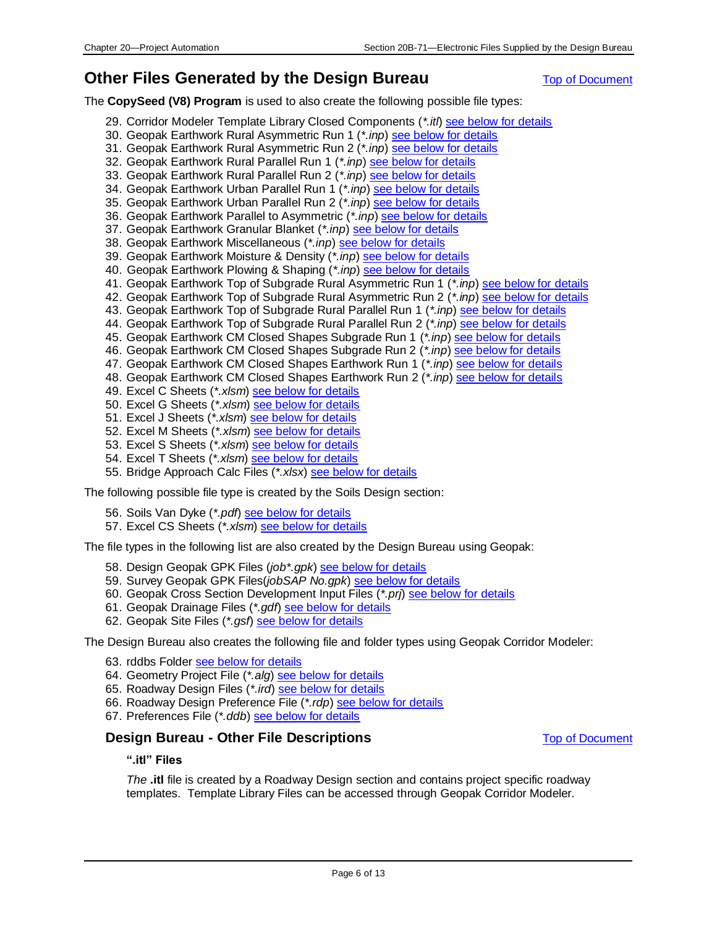## <span id="page-5-0"></span>**Other Files Generated by the Design Bureau [Top of Document](#page-0-2) Congress Constraints**

The **CopySeed (V8) Program** is used to also create the following possible file types:

- 29. Corridor Modeler Template Library Closed Components (*\*.itl*) [see below for details](#page-5-2)
- 30. Geopak Earthwork Rural Asymmetric Run 1 (*\*.inp*) [see below for details](#page-6-2)
- 31. Geopak Earthwork Rural Asymmetric Run 2 (*\*.inp*) [see below for details](#page-6-2)
- 32. Geopak Earthwork Rural Parallel Run 1 (*\*.inp*[\) see below for details](#page-6-2)
- 33. Geopak Earthwork Rural Parallel Run 2 (*\*.inp*[\) see below for details](#page-6-2)
- 34. Geopak Earthwork Urban Parallel Run 1 (*\*.inp*[\) see below for details](#page-6-2)
- 35. Geopak Earthwork Urban Parallel Run 2 (\*.inp[\) see below for details](#page-6-2)
- 36. Geopak Earthwork Parallel to Asymmetric (*\*.inp*[\) see below for details](#page-6-2)
- 37. Geopak Earthwork Granular Blanket (*\*.inp*) [see below for details](#page-6-2)
- 38. Geopak Earthwork Miscellaneous (*\*.inp*) [see below for details](#page-6-2)
- 39. Geopak Earthwork Moisture & Density (*\*.inp*[\) see below for details](#page-6-2)
- 40. Geopak Earthwork Plowing & Shaping (*\*.inp*) [see below for details](#page-6-2)
- 41. Geopak Earthwork Top of Subgrade Rural Asymmetric Run 1 (*\*.inp*[\) see below for details](#page-6-2)
- 42. Geopak Earthwork Top of Subgrade Rural Asymmetric Run 2 (*\*.inp*[\) see below for details](#page-6-2)
- 43. Geopak Earthwork Top of Subgrade Rural Parallel Run 1 (*\*.inp*[\) see below for details](#page-6-2)
- 44. Geopak Earthwork Top of Subgrade Rural Parallel Run 2 (*\*.inp*[\) see below for details](#page-6-2)
- 45. Geopak Earthwork CM Closed Shapes Subgrade Run 1 (*\*.inp*[\) see below for details](#page-6-2)
- 46. Geopak Earthwork CM Closed Shapes Subgrade Run 2 (*\*.inp*[\) see below for details](#page-6-2)
- 47. Geopak Earthwork CM Closed Shapes Earthwork Run 1 (\*.inp) [see below for details](#page-6-2)
- 48. Geopak Earthwork CM Closed Shapes Earthwork Run 2 (*\*.inp*) [see below for details](#page-6-2)
- 49. Excel C Sheets (*\*.xlsm*) [see below for details](#page-6-1)
- 50. Excel G Sheets (*\*.xlsm*) [see below for details](#page-6-1)
- 51. Excel J Sheets (*\*.xlsm*) [see below for details](#page-6-1)
- 52. Excel M Sheets (*\*.xlsm*) [see below for details](#page-6-1)
- 53. Excel S Sheets (*\*.xlsm*) [see below for details](#page-6-1)
- 54. Excel T Sheets (*\*.xlsm*) [see below for details](#page-6-1)
- 55. Bridge Approach Calc Files (*\*.xlsx*) [see below for details](#page-6-3)

The following possible file type is created by the Soils Design section:

- 56. Soils Van Dyke (*\*.pdf*[\) see below for details](#page-6-3)
- 57. Excel CS Sheets (*\*.xlsm*) [see below for details](#page-6-1)

The file types in the following list are also created by the Design Bureau using Geopak:

- 58. Design Geopak GPK Files (*job\*.gpk*[\) see below for details](#page-6-4)
- 59. Survey Geopak GPK Files(*jobSAP No.gpk*) [see below for details](#page-6-5)
- 60. Geopak Cross Section Development Input Files (*\*.prj*[\) see below for details](#page-6-6)
- 61. Geopak Drainage Files (*\*.gdf*) [see below for details](#page-7-3)
- 62. Geopak Site Files (*\*.gsf*) [see below for details](#page-7-4)

The Design Bureau also creates the following file and folder types using Geopak Corridor Modeler:

- 63. rddbs Folder [see below for details](#page-7-5)
- 64. Geometry Project File (*\*.alg*) [see below for details](#page-7-6)
- 65. Roadway Design Files (*\*.ird*) [see below for details](#page-7-7)
- 66. Roadway Design Preference File (*\*.rdp*[\) see below for details](#page-7-8)
- 67. Preferences File (*\*.ddb*[\) see below for details](#page-7-9)

#### <span id="page-5-2"></span><span id="page-5-1"></span>**Design Bureau - Other File Descriptions** [Top of Document](#page-0-2)

#### **".itl" Files**

*The* **.itl** file is created by a Roadway Design section and contains project specific roadway templates. Template Library Files can be accessed through Geopak Corridor Modeler.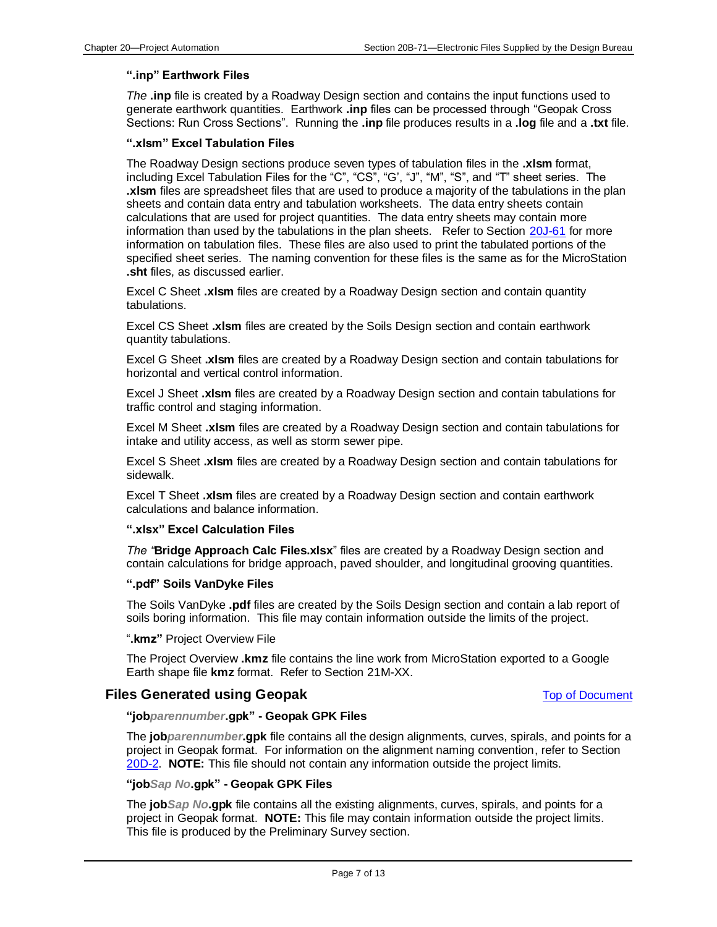#### <span id="page-6-2"></span>**".inp" Earthwork Files**

*The* **.inp** file is created by a Roadway Design section and contains the input functions used to generate earthwork quantities. Earthwork **.inp** files can be processed through "Geopak Cross Sections: Run Cross Sections". Running the **.inp** file produces results in a **.log** file and a **.txt** file.

#### <span id="page-6-1"></span>**".xlsm" Excel Tabulation Files**

The Roadway Design sections produce seven types of tabulation files in the **.xlsm** format, including Excel Tabulation Files for the "C", "CS", "G', "J", "M", "S", and "T" sheet series. The **.xlsm** files are spreadsheet files that are used to produce a majority of the tabulations in the plan sheets and contain data entry and tabulation worksheets. The data entry sheets contain calculations that are used for project quantities. The data entry sheets may contain more information than used by the tabulations in the plan sheets. Refer to Section [20J-61](20J-61.pdf) for more information on tabulation files. These files are also used to print the tabulated portions of the specified sheet series. The naming convention for these files is the same as for the MicroStation **.sht** files, as discussed earlier.

Excel C Sheet **.xlsm** files are created by a Roadway Design section and contain quantity tabulations.

Excel CS Sheet **.xlsm** files are created by the Soils Design section and contain earthwork quantity tabulations.

Excel G Sheet **.xlsm** files are created by a Roadway Design section and contain tabulations for horizontal and vertical control information.

Excel J Sheet **.xlsm** files are created by a Roadway Design section and contain tabulations for traffic control and staging information.

Excel M Sheet **.xlsm** files are created by a Roadway Design section and contain tabulations for intake and utility access, as well as storm sewer pipe.

Excel S Sheet **.xlsm** files are created by a Roadway Design section and contain tabulations for sidewalk.

Excel T Sheet **.xlsm** files are created by a Roadway Design section and contain earthwork calculations and balance information.

#### <span id="page-6-3"></span>**".xlsx" Excel Calculation Files**

*The "***Bridge Approach Calc Files.xlsx**" files are created by a Roadway Design section and contain calculations for bridge approach, paved shoulder, and longitudinal grooving quantities.

#### <span id="page-6-7"></span>**".pdf" Soils VanDyke Files**

The Soils VanDyke **.pdf** files are created by the Soils Design section and contain a lab report of soils boring information. This file may contain information outside the limits of the project.

#### "**.kmz"** Project Overview File

The Project Overview **.kmz** file contains the line work from MicroStation exported to a Google Earth shape file **kmz** format. Refer to Section 21M-XX.

#### <span id="page-6-4"></span><span id="page-6-0"></span>**Files Generated using Geopak** [Top of Document](#page-0-2)

#### **"job***parennumber***.gpk" - Geopak GPK Files**

The **job***parennumber***.gpk** file contains all the design alignments, curves, spirals, and points for a project in Geopak format. For information on the alignment naming convention, refer to Section [20D-2.](20D-02.pdf) **NOTE:** This file should not contain any information outside the project limits.

#### <span id="page-6-5"></span>**"job***Sap No***.gpk" - Geopak GPK Files**

<span id="page-6-6"></span>The **job***Sap No***.gpk** file contains all the existing alignments, curves, spirals, and points for a project in Geopak format. **NOTE:** This file may contain information outside the project limits. This file is produced by the Preliminary Survey section.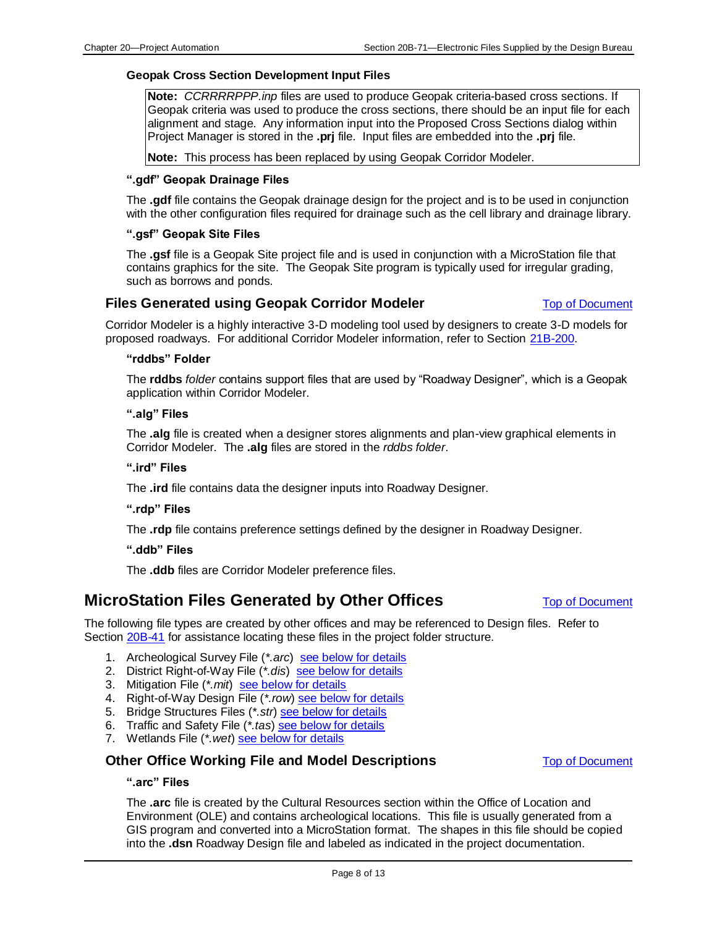#### **Geopak Cross Section Development Input Files**

**Note:** *CCRRRRPPP.inp* files are used to produce Geopak criteria-based cross sections. If Geopak criteria was used to produce the cross sections, there should be an input file for each alignment and stage. Any information input into the Proposed Cross Sections dialog within Project Manager is stored in the **.prj** file. Input files are embedded into the **.prj** file.

**Note:** This process has been replaced by using Geopak Corridor Modeler.

#### <span id="page-7-3"></span>**".gdf" Geopak Drainage Files**

The **.gdf** file contains the Geopak drainage design for the project and is to be used in conjunction with the other configuration files required for drainage such as the cell library and drainage library.

#### <span id="page-7-4"></span>**".gsf" Geopak Site Files**

The **.gsf** file is a Geopak Site project file and is used in conjunction with a MicroStation file that contains graphics for the site. The Geopak Site program is typically used for irregular grading, such as borrows and ponds.

#### <span id="page-7-0"></span>**Files Generated using Geopak Corridor Modeler [Top of Document](#page-0-2) Concument**

<span id="page-7-5"></span>Corridor Modeler is a highly interactive 3-D modeling tool used by designers to create 3-D models for proposed roadways. For additional Corridor Modeler information, refer to Section [21B-200.](21B-200.pdf)

#### **"rddbs" Folder**

The **rddbs** *folder* contains support files that are used by "Roadway Designer", which is a Geopak application within Corridor Modeler.

#### <span id="page-7-6"></span>**".alg" Files**

The **.alg** file is created when a designer stores alignments and plan-view graphical elements in Corridor Modeler. The **.alg** files are stored in the *rddbs folder*.

#### <span id="page-7-7"></span>**".ird" Files**

The **.ird** file contains data the designer inputs into Roadway Designer.

#### <span id="page-7-8"></span>**".rdp" Files**

The **.rdp** file contains preference settings defined by the designer in Roadway Designer.

#### <span id="page-7-9"></span>**".ddb" Files**

The **.ddb** files are Corridor Modeler preference files.

## <span id="page-7-1"></span>**MicroStation Files Generated by Other Offices** [Top of Document](#page-0-2)

The following file types are created by other offices and may be referenced to Design files. Refer to Section [20B-41](20B-41.pdf) for assistance locating these files in the project folder structure.

- 1. Archeological Survey File (*\*.arc*) [see below for details](#page-7-10)
- 2. District Right-of-Way File (*\*.dis*) [see below for details](#page-8-0)
- 3. Mitigation File (*\*.mit*) [see below for details](#page-8-1)
- 4. Right-of-Way Design File (*\*.row*) [see below for details](#page-8-2)
- 5. Bridge Structures Files (*\*.str*) [see below for details](#page-9-1)
- 6. Traffic and Safety File (*\*.tas*) [see below for details](#page-9-2)
- 7. Wetlands File (*\*.wet*) [see below for details](#page-9-3)

### <span id="page-7-10"></span><span id="page-7-2"></span>**Other Office Working File and Model Descriptions [Top of Document](#page-0-2) Conditional Article 2016**

#### **".arc" Files**

The **.arc** file is created by the Cultural Resources section within the Office of Location and Environment (OLE) and contains archeological locations. This file is usually generated from a GIS program and converted into a MicroStation format. The shapes in this file should be copied into the **.dsn** Roadway Design file and labeled as indicated in the project documentation.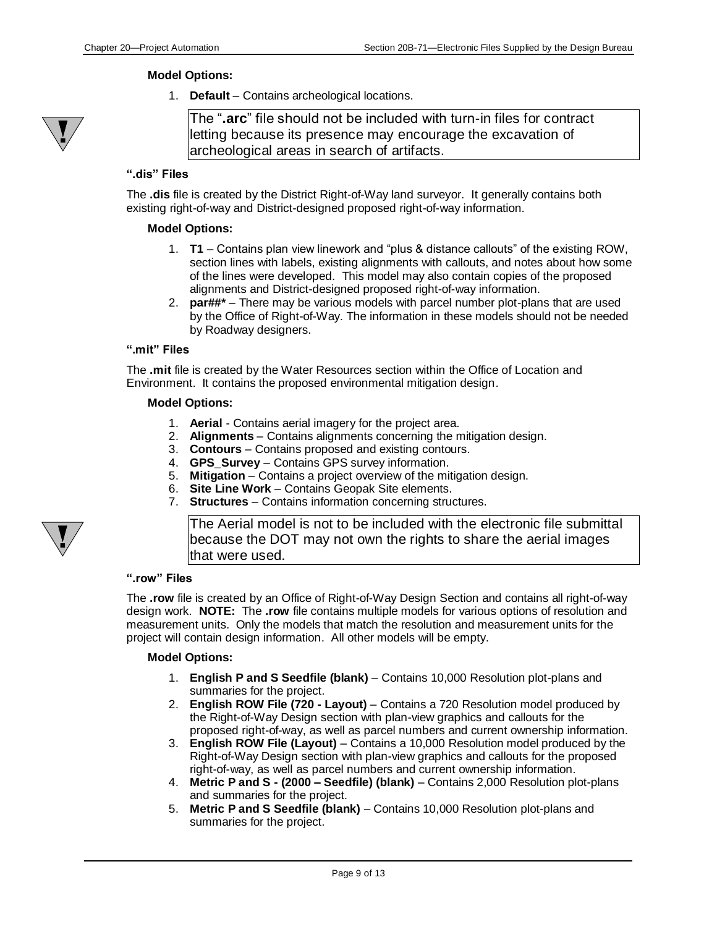#### **Model Options:**

1. **Default** – Contains archeological locations.



The "**.arc**" file should not be included with turn-in files for contract letting because its presence may encourage the excavation of archeological areas in search of artifacts.

#### <span id="page-8-0"></span>**".dis" Files**

The **.dis** file is created by the District Right-of-Way land surveyor. It generally contains both existing right-of-way and District-designed proposed right-of-way information.

#### **Model Options:**

- 1. **T1**  Contains plan view linework and "plus & distance callouts" of the existing ROW, section lines with labels, existing alignments with callouts, and notes about how some of the lines were developed. This model may also contain copies of the proposed alignments and District-designed proposed right-of-way information.
- 2. **par##\***  There may be various models with parcel number plot-plans that are used by the Office of Right-of-Way. The information in these models should not be needed by Roadway designers.

#### <span id="page-8-1"></span>**".mit" Files**

The **.mit** file is created by the Water Resources section within the Office of Location and Environment. It contains the proposed environmental mitigation design.

#### **Model Options:**

- 1. **Aerial** Contains aerial imagery for the project area.
- 2. **Alignments** Contains alignments concerning the mitigation design.
- 3. **Contours** Contains proposed and existing contours.
- 4. **GPS\_Survey** Contains GPS survey information.
- 5. **Mitigation** Contains a project overview of the mitigation design.
- 6. **Site Line Work** Contains Geopak Site elements.
- 7. **Structures**  Contains information concerning structures.

The Aerial model is not to be included with the electronic file submittal because the DOT may not own the rights to share the aerial images that were used.

#### <span id="page-8-2"></span>**".row" Files**

The **.row** file is created by an Office of Right-of-Way Design Section and contains all right-of-way design work. **NOTE:** The **.row** file contains multiple models for various options of resolution and measurement units. Only the models that match the resolution and measurement units for the project will contain design information. All other models will be empty.

#### **Model Options:**

- 1. **English P and S Seedfile (blank)**  Contains 10,000 Resolution plot-plans and summaries for the project.
- 2. **English ROW File (720 - Layout)**  Contains a 720 Resolution model produced by the Right-of-Way Design section with plan-view graphics and callouts for the proposed right-of-way, as well as parcel numbers and current ownership information.
- 3. **English ROW File (Layout)**  Contains a 10,000 Resolution model produced by the Right-of-Way Design section with plan-view graphics and callouts for the proposed right-of-way, as well as parcel numbers and current ownership information.
- 4. **Metric P and S - (2000 – Seedfile) (blank)**  Contains 2,000 Resolution plot-plans and summaries for the project.
- 5. **Metric P and S Seedfile (blank)**  Contains 10,000 Resolution plot-plans and summaries for the project.

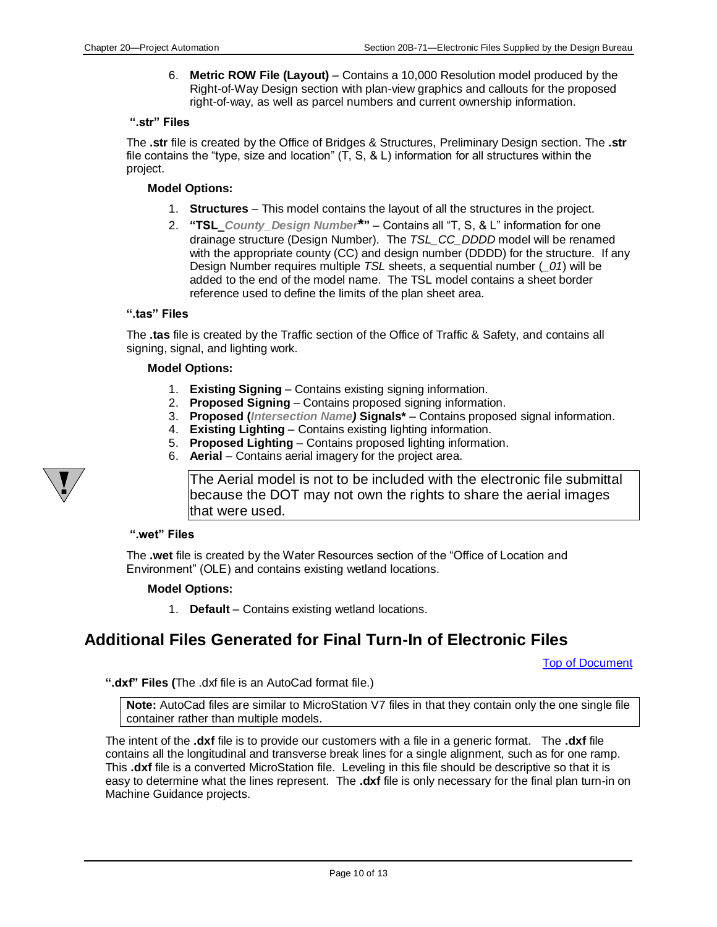6. **Metric ROW File (Layout)** – Contains a 10,000 Resolution model produced by the Right-of-Way Design section with plan-view graphics and callouts for the proposed right-of-way, as well as parcel numbers and current ownership information.

#### <span id="page-9-1"></span>**".str" Files**

The **.str** file is created by the Office of Bridges & Structures, Preliminary Design section. The **.str** file contains the "type, size and location"  $(T, S, \& L)$  information for all structures within the project.

#### **Model Options:**

- 1. **Structures** This model contains the layout of all the structures in the project.
- 2. **"TSL\_***County\_Design Number***\*"** Contains all "T, S, & L" information for one drainage structure (Design Number). The *TSL\_CC\_DDDD* model will be renamed with the appropriate county (CC) and design number (DDDD) for the structure. If any Design Number requires multiple *TSL* sheets, a sequential number (*\_01*) will be added to the end of the model name. The TSL model contains a sheet border reference used to define the limits of the plan sheet area.

#### <span id="page-9-2"></span>**".tas" Files**

The **.tas** file is created by the Traffic section of the Office of Traffic & Safety, and contains all signing, signal, and lighting work.

#### **Model Options:**

- 1. **Existing Signing**  Contains existing signing information.
- 2. **Proposed Signing** Contains proposed signing information.
- 3. **Proposed (***Intersection Name)* **Signals\***  Contains proposed signal information.
- 4. **Existing Lighting** Contains existing lighting information.
- 5. **Proposed Lighting** Contains proposed lighting information.
- 6. **Aerial** Contains aerial imagery for the project area.

The Aerial model is not to be included with the electronic file submittal because the DOT may not own the rights to share the aerial images that were used.

#### <span id="page-9-3"></span>**".wet" Files**

The **.wet** file is created by the Water Resources section of the "Office of Location and Environment" (OLE) and contains existing wetland locations.

#### **Model Options:**

1. **Default** – Contains existing wetland locations.

## <span id="page-9-0"></span>**Additional Files Generated for Final Turn-In of Electronic Files**

[Top of Document](#page-0-2)

<span id="page-9-4"></span>**".dxf" Files (**The .dxf file is an AutoCad format file.)

**Note:** AutoCad files are similar to MicroStation V7 files in that they contain only the one single file container rather than multiple models.

The intent of the **.dxf** file is to provide our customers with a file in a generic format. The **.dxf** file contains all the longitudinal and transverse break lines for a single alignment, such as for one ramp. This **.dxf** file is a converted MicroStation file. Leveling in this file should be descriptive so that it is easy to determine what the lines represent. The **.dxf** file is only necessary for the final plan turn-in on Machine Guidance projects.

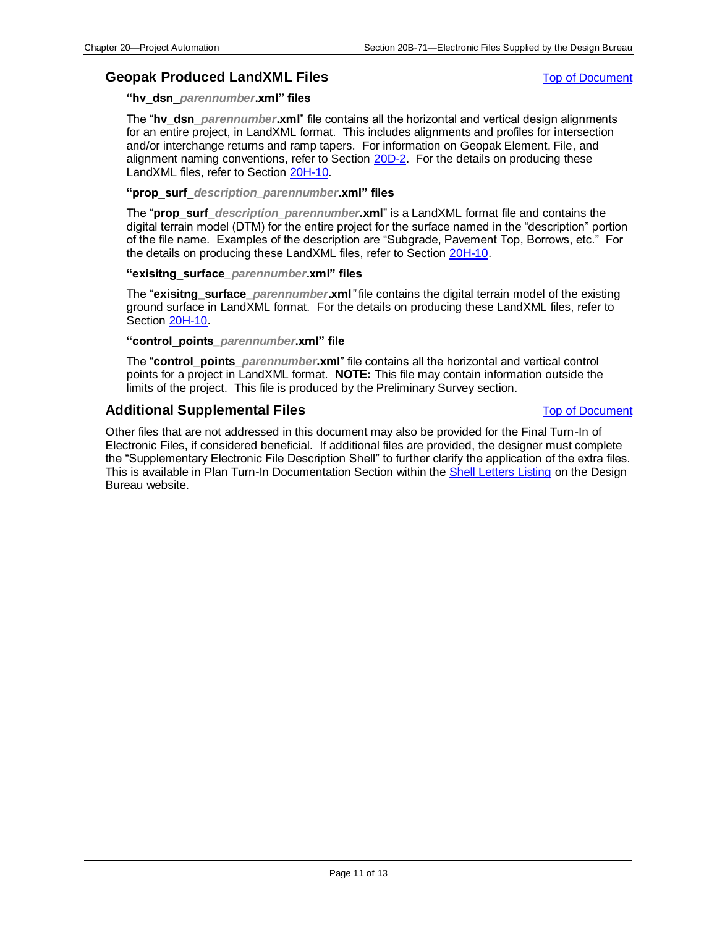### <span id="page-10-2"></span><span id="page-10-0"></span>**Geopak Produced LandXML Files** [Top of Document](#page-0-2)

**"hv\_dsn\_***parennumber***.xml" files**

The "**hv\_dsn\_***parennumber***.xml**" file contains all the horizontal and vertical design alignments for an entire project, in LandXML format. This includes alignments and profiles for intersection and/or interchange returns and ramp tapers. For information on Geopak Element, File, and alignment naming conventions, refer to Section [20D-2.](20D-02.pdf) For the details on producing these LandXML files, refer to Section [20H-10.](20H-10.pdf)

#### <span id="page-10-4"></span>**"prop\_surf\_***description\_parennumber***.xml" files**

The "**prop\_surf\_***description\_parennumber***.xml**" is a LandXML format file and contains the digital terrain model (DTM) for the entire project for the surface named in the "description" portion of the file name. Examples of the description are "Subgrade, Pavement Top, Borrows, etc." For the details on producing these LandXML files, refer to Section [20H-10.](20H-10.pdf)

#### **"exisitng\_surface***\_parennumber***.xml" files**

The "**exisitng\_surface\_***parennumber***.xml***"* file contains the digital terrain model of the existing ground surface in LandXML format. For the details on producing these LandXML files, refer to Section [20H-10.](20H-10.pdf)

#### <span id="page-10-3"></span>**"control\_points***\_parennumber***.xml" file**

The "**control\_points\_***parennumber***.xml**" file contains all the horizontal and vertical control points for a project in LandXML format. **NOTE:** This file may contain information outside the limits of the project. This file is produced by the Preliminary Survey section.

### <span id="page-10-1"></span>**Additional Supplemental Files** [Top of Document](#page-0-2)

Other files that are not addressed in this document may also be provided for the Final Turn-In of Electronic Files, if considered beneficial. If additional files are provided, the designer must complete the "Supplementary Electronic File Description Shell" to further clarify the application of the extra files. This is available in Plan Turn-In Documentation Section within th[e Shell Letters Listing](../Shell-letters) on the Design Bureau website.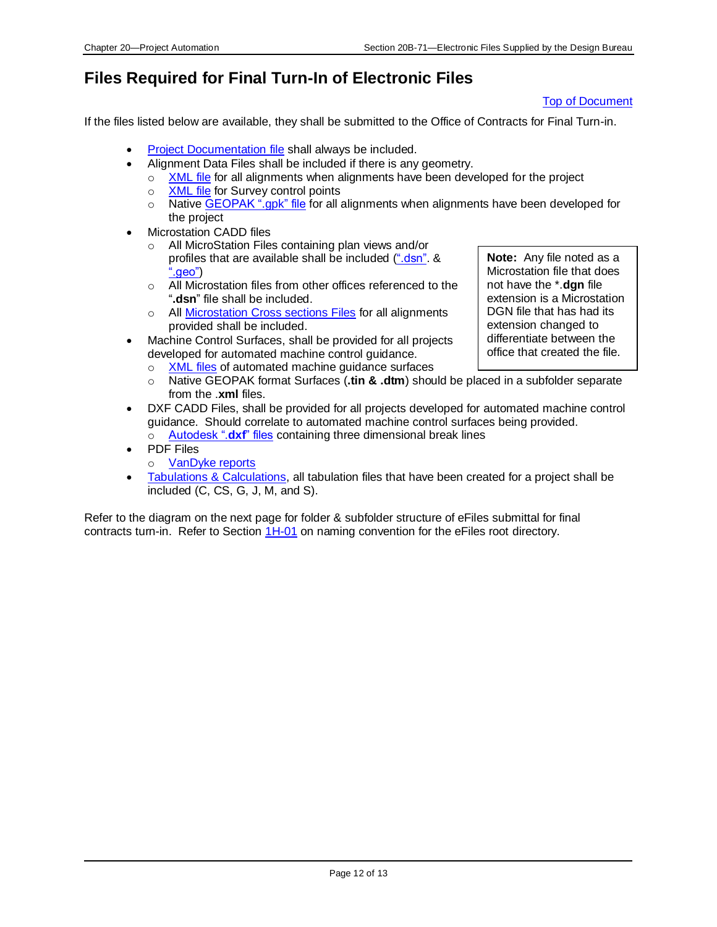## <span id="page-11-0"></span>**Files Required for Final Turn-In of Electronic Files**

#### [Top of Document](#page-0-2)

If the files listed below are available, they shall be submitted to the Office of Contracts for Final Turn-in.

- [Project Documentation](#page-0-0) file shall always be included.
- Alignment Data Files shall be included if there is any geometry.
	- $\circ$  [XML file](#page-10-2) for all alignments when alignments have been developed for the project
	- o [XML file](#page-10-3) for Survey control points
	- o Native [GEOPAK ".gpk" file](#page-6-4) for all alignments when alignments have been developed for the project
- **Microstation CADD files** 
	- o All MicroStation Files containing plan views and/or profiles that are available shall be included [\(".dsn".](#page-2-0) & [".geo"\)](#page-2-1)
	- o All Microstation files from other offices referenced to the "**.dsn**" file shall be included.
	- o All [Microstation Cross sections Files](#page-4-0) for all alignments provided shall be included.
- Machine Control Surfaces, shall be provided for all projects developed for automated machine control guidance.
	- o [XML files](#page-10-4) of automated machine guidance surfaces
- **Note:** Any file noted as a Microstation file that does not have the \*.**dgn** file extension is a Microstation DGN file that has had its extension changed to differentiate between the office that created the file.
- o Native GEOPAK format Surfaces (**.tin & .dtm**) should be placed in a subfolder separate from the .**xml** files.
- DXF CADD Files, shall be provided for all projects developed for automated machine control guidance. Should correlate to automated machine control surfaces being provided. o [Autodesk ".](#page-9-4)**dxf**" files containing three dimensional break lines
- PDF Files
	- o [VanDyke reports](#page-6-7)
- [Tabulations & Calculations,](#page-6-1) all tabulation files that have been created for a project shall be included (C, CS, G, J, M, and S).

Refer to the diagram on the next page for folder & subfolder structure of eFiles submittal for final contracts turn-in. Refer to Section [1H-01](01H-01.pdf) on naming convention for the eFiles root directory.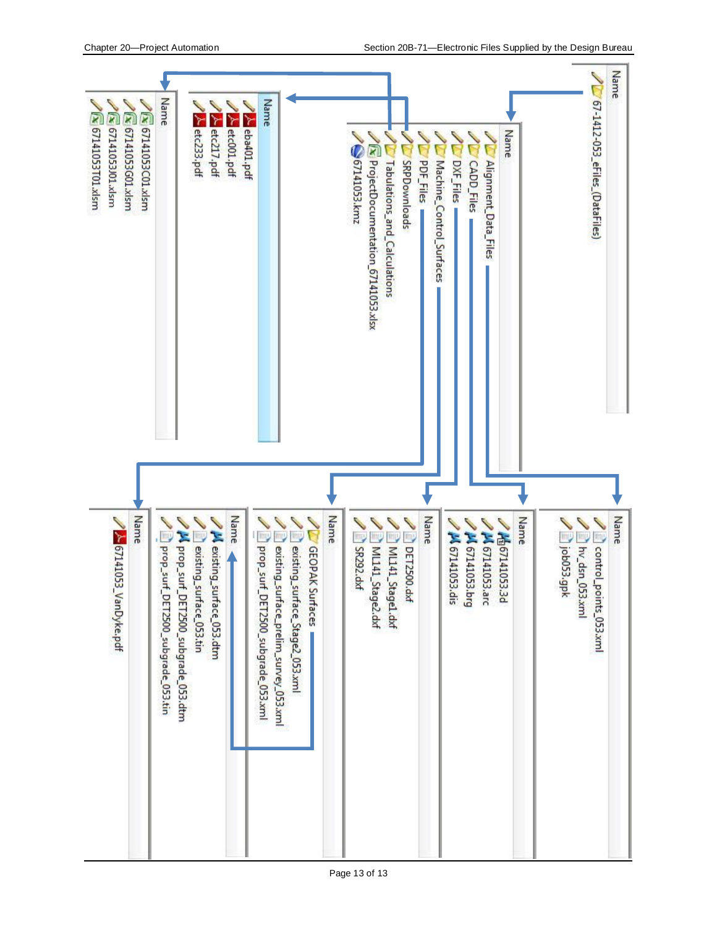